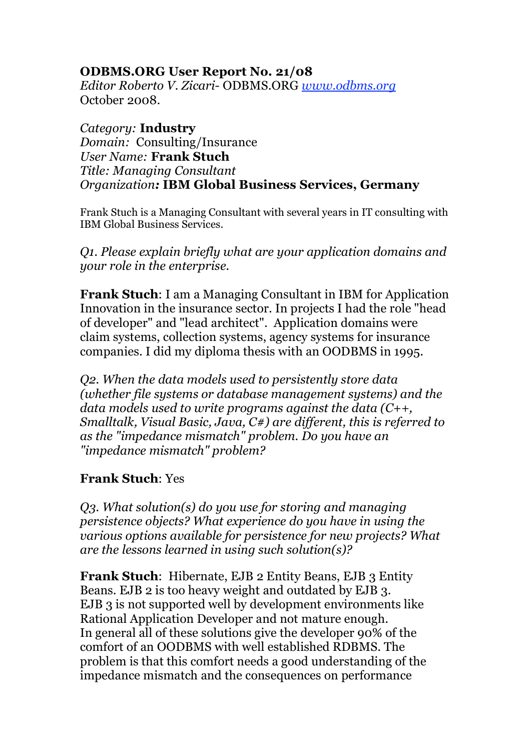## **ODBMS.ORG User Report No. 21/08**

*Editor Roberto V. Zicari-* ODBMS.ORG *www.odbms.org* October 2008.

*Category:* **Industry** *Domain:* Consulting/Insurance *User Name:* **Frank Stuch** *Title: Managing Consultant Organization:* **IBM Global Business Services, Germany**

Frank Stuch is a Managing Consultant with several years in IT consulting with IBM Global Business Services.

*Q1. Please explain briefly what are your application domains and your role in the enterprise.*

**Frank Stuch**: I am a Managing Consultant in IBM for Application Innovation in the insurance sector. In projects I had the role "head of developer" and "lead architect". Application domains were claim systems, collection systems, agency systems for insurance companies. I did my diploma thesis with an OODBMS in 1995.

*Q2. When the data models used to persistently store data (whether file systems or database management systems) and the data models used to write programs against the data (C++, Smalltalk, Visual Basic, Java, C#) are different, this is referred to as the "impedance mismatch" problem. Do you have an "impedance mismatch" problem?*

## **Frank Stuch**: Yes

*Q3. What solution(s) do you use for storing and managing persistence objects? What experience do you have in using the various options available for persistence for new projects? What are the lessons learned in using such solution(s)?*

**Frank Stuch**: Hibernate, EJB 2 Entity Beans, EJB 3 Entity Beans. EJB 2 is too heavy weight and outdated by EJB 3. EJB 3 is not supported well by development environments like Rational Application Developer and not mature enough. In general all of these solutions give the developer 90% of the comfort of an OODBMS with well established RDBMS. The problem is that this comfort needs a good understanding of the impedance mismatch and the consequences on performance